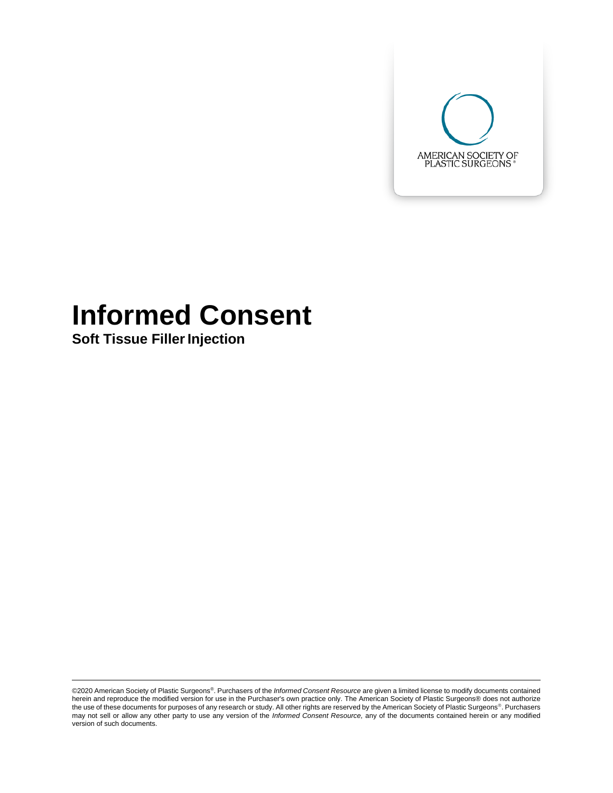

# **Informed Consent**

**Soft Tissue Filler Injection** 

©2020 American Society of Plastic Surgeons®. Purchasers of the *Informed Consent Resource* are given a limited license to modify documents contained herein and reproduce the modified version for use in the Purchaser's own practice only. The American Society of Plastic Surgeons® does not authorize<br>the use of these documents for purposes of any research or study. All oth may not sell or allow any other party to use any version of the *Informed Consent Resource,* any of the documents contained herein or any modified version of such documents.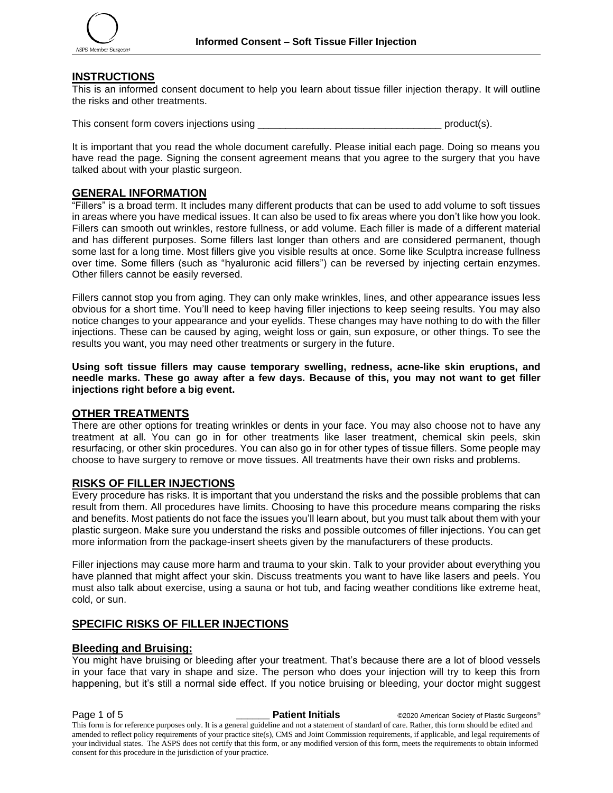#### **INSTRUCTIONS**

This is an informed consent document to help you learn about tissue filler injection therapy. It will outline the risks and other treatments.

This consent form covers injections using the set of the set of the set of the product(s).

It is important that you read the whole document carefully. Please initial each page. Doing so means you have read the page. Signing the consent agreement means that you agree to the surgery that you have talked about with your plastic surgeon.

#### **GENERAL INFORMATION**

"Fillers" is a broad term. It includes many different products that can be used to add volume to soft tissues in areas where you have medical issues. It can also be used to fix areas where you don't like how you look. Fillers can smooth out wrinkles, restore fullness, or add volume. Each filler is made of a different material and has different purposes. Some fillers last longer than others and are considered permanent, though some last for a long time. Most fillers give you visible results at once. Some like Sculptra increase fullness over time. Some fillers (such as "hyaluronic acid fillers") can be reversed by injecting certain enzymes. Other fillers cannot be easily reversed.

Fillers cannot stop you from aging. They can only make wrinkles, lines, and other appearance issues less obvious for a short time. You'll need to keep having filler injections to keep seeing results. You may also notice changes to your appearance and your eyelids. These changes may have nothing to do with the filler injections. These can be caused by aging, weight loss or gain, sun exposure, or other things. To see the results you want, you may need other treatments or surgery in the future.

**Using soft tissue fillers may cause temporary swelling, redness, acne-like skin eruptions, and needle marks. These go away after a few days. Because of this, you may not want to get filler injections right before a big event.** 

#### **OTHER TREATMENTS**

There are other options for treating wrinkles or dents in your face. You may also choose not to have any treatment at all. You can go in for other treatments like laser treatment, chemical skin peels, skin resurfacing, or other skin procedures. You can also go in for other types of tissue fillers. Some people may choose to have surgery to remove or move tissues. All treatments have their own risks and problems.

#### **RISKS OF FILLER INJECTIONS**

Every procedure has risks. It is important that you understand the risks and the possible problems that can result from them. All procedures have limits. Choosing to have this procedure means comparing the risks and benefits. Most patients do not face the issues you'll learn about, but you must talk about them with your plastic surgeon. Make sure you understand the risks and possible outcomes of filler injections. You can get more information from the package-insert sheets given by the manufacturers of these products.

Filler injections may cause more harm and trauma to your skin. Talk to your provider about everything you have planned that might affect your skin. Discuss treatments you want to have like lasers and peels. You must also talk about exercise, using a sauna or hot tub, and facing weather conditions like extreme heat, cold, or sun.

#### **SPECIFIC RISKS OF FILLER INJECTIONS**

#### **Bleeding and Bruising:**

You might have bruising or bleeding after your treatment. That's because there are a lot of blood vessels in your face that vary in shape and size. The person who does your injection will try to keep this from happening, but it's still a normal side effect. If you notice bruising or bleeding, your doctor might suggest

Page 1 of 5 **\_\_\_\_\_\_ Patient Initials** ©2020 American Society of Plastic Surgeons® This form is for reference purposes only. It is a general guideline and not a statement of standard of care. Rather, this form should be edited and amended to reflect policy requirements of your practice site(s), CMS and Joint Commission requirements, if applicable, and legal requirements of your individual states. The ASPS does not certify that this form, or any modified version of this form, meets the requirements to obtain informed consent for this procedure in the jurisdiction of your practice.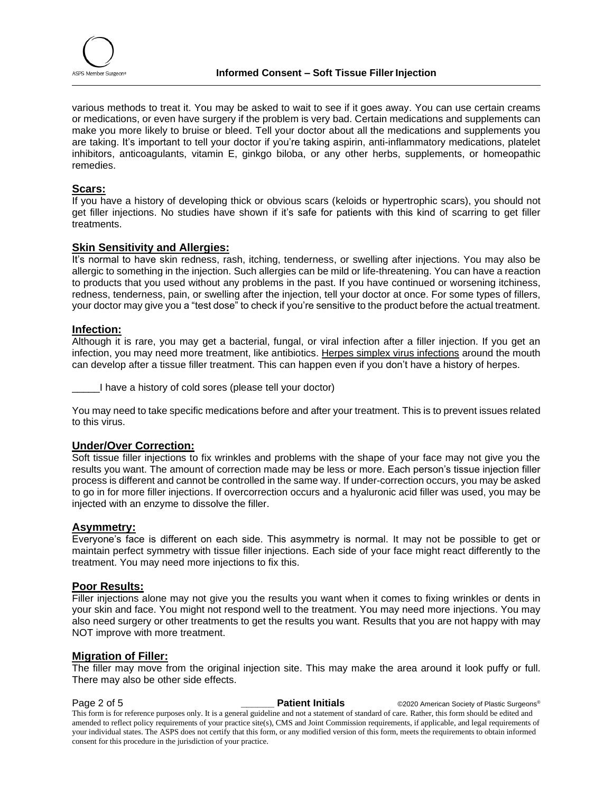

various methods to treat it. You may be asked to wait to see if it goes away. You can use certain creams or medications, or even have surgery if the problem is very bad. Certain medications and supplements can make you more likely to bruise or bleed. Tell your doctor about all the medications and supplements you are taking. It's important to tell your doctor if you're taking aspirin, anti-inflammatory medications, platelet inhibitors, anticoagulants, vitamin E, ginkgo biloba, or any other herbs, supplements, or homeopathic remedies.

## **Scars:**

If you have a history of developing thick or obvious scars (keloids or hypertrophic scars), you should not get filler injections. No studies have shown if it's safe for patients with this kind of scarring to get filler treatments.

#### **Skin Sensitivity and Allergies:**

It's normal to have skin redness, rash, itching, tenderness, or swelling after injections. You may also be allergic to something in the injection. Such allergies can be mild or life-threatening. You can have a reaction to products that you used without any problems in the past. If you have continued or worsening itchiness, redness, tenderness, pain, or swelling after the injection, tell your doctor at once. For some types of fillers, your doctor may give you a "test dose" to check if you're sensitive to the product before the actual treatment.

#### **Infection:**

Although it is rare, you may get a bacterial, fungal, or viral infection after a filler injection. If you get an infection, you may need more treatment, like antibiotics. Herpes simplex virus infections around the mouth can develop after a tissue filler treatment. This can happen even if you don't have a history of herpes.

\_\_\_\_\_I have a history of cold sores (please tell your doctor)

You may need to take specific medications before and after your treatment. This is to prevent issues related to this virus.

#### **Under/Over Correction:**

Soft tissue filler injections to fix wrinkles and problems with the shape of your face may not give you the results you want. The amount of correction made may be less or more. Each person's tissue injection filler process is different and cannot be controlled in the same way. If under-correction occurs, you may be asked to go in for more filler injections. If overcorrection occurs and a hyaluronic acid filler was used, you may be injected with an enzyme to dissolve the filler.

#### **Asymmetry:**

Everyone's face is different on each side. This asymmetry is normal. It may not be possible to get or maintain perfect symmetry with tissue filler injections. Each side of your face might react differently to the treatment. You may need more injections to fix this.

### **Poor Results:**

Filler injections alone may not give you the results you want when it comes to fixing wrinkles or dents in your skin and face. You might not respond well to the treatment. You may need more injections. You may also need surgery or other treatments to get the results you want. Results that you are not happy with may NOT improve with more treatment.

#### **Migration of Filler:**

The filler may move from the original injection site. This may make the area around it look puffy or full. There may also be other side effects.

**Page 2 of 5 Patient Initials COVID-2020** American Society of Plastic Surgeons® This form is for reference purposes only. It is a general guideline and not a statement of standard of care. Rather, this form should be edited and amended to reflect policy requirements of your practice site(s), CMS and Joint Commission requirements, if applicable, and legal requirements of your individual states. The ASPS does not certify that this form, or any modified version of this form, meets the requirements to obtain informed consent for this procedure in the jurisdiction of your practice.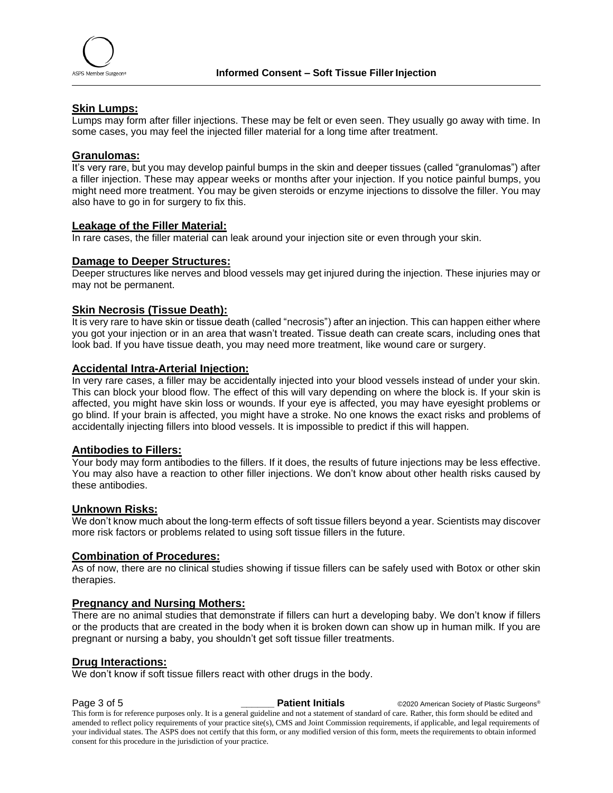

#### **Skin Lumps:**

Lumps may form after filler injections. These may be felt or even seen. They usually go away with time. In some cases, you may feel the injected filler material for a long time after treatment.

#### **Granulomas:**

It's very rare, but you may develop painful bumps in the skin and deeper tissues (called "granulomas") after a filler injection. These may appear weeks or months after your injection. If you notice painful bumps, you might need more treatment. You may be given steroids or enzyme injections to dissolve the filler. You may also have to go in for surgery to fix this.

#### **Leakage of the Filler Material:**

In rare cases, the filler material can leak around your injection site or even through your skin.

#### **Damage to Deeper Structures:**

Deeper structures like nerves and blood vessels may get injured during the injection. These injuries may or may not be permanent.

#### **Skin Necrosis (Tissue Death):**

It is very rare to have skin or tissue death (called "necrosis") after an injection. This can happen either where you got your injection or in an area that wasn't treated. Tissue death can create scars, including ones that look bad. If you have tissue death, you may need more treatment, like wound care or surgery.

#### **Accidental Intra-Arterial Injection:**

In very rare cases, a filler may be accidentally injected into your blood vessels instead of under your skin. This can block your blood flow. The effect of this will vary depending on where the block is. If your skin is affected, you might have skin loss or wounds. If your eye is affected, you may have eyesight problems or go blind. If your brain is affected, you might have a stroke. No one knows the exact risks and problems of accidentally injecting fillers into blood vessels. It is impossible to predict if this will happen.

#### **Antibodies to Fillers:**

Your body may form antibodies to the fillers. If it does, the results of future injections may be less effective. You may also have a reaction to other filler injections. We don't know about other health risks caused by these antibodies.

#### **Unknown Risks:**

We don't know much about the long-term effects of soft tissue fillers beyond a year. Scientists may discover more risk factors or problems related to using soft tissue fillers in the future.

#### **Combination of Procedures:**

As of now, there are no clinical studies showing if tissue fillers can be safely used with Botox or other skin therapies.

#### **Pregnancy and Nursing Mothers:**

There are no animal studies that demonstrate if fillers can hurt a developing baby. We don't know if fillers or the products that are created in the body when it is broken down can show up in human milk. If you are pregnant or nursing a baby, you shouldn't get soft tissue filler treatments.

#### **Drug Interactions:**

We don't know if soft tissue fillers react with other drugs in the body.

**Page 3 of 5 Patient Initials COVID-2020** American Society of Plastic Surgeons®

This form is for reference purposes only. It is a general guideline and not a statement of standard of care. Rather, this form should be edited and amended to reflect policy requirements of your practice site(s), CMS and Joint Commission requirements, if applicable, and legal requirements of your individual states. The ASPS does not certify that this form, or any modified version of this form, meets the requirements to obtain informed consent for this procedure in the jurisdiction of your practice.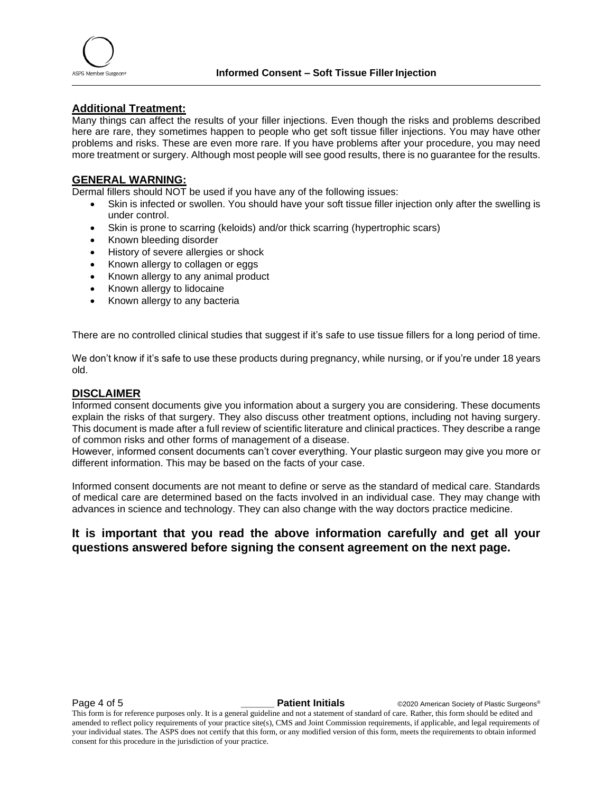

#### **Additional Treatment:**

Many things can affect the results of your filler injections. Even though the risks and problems described here are rare, they sometimes happen to people who get soft tissue filler injections. You may have other problems and risks. These are even more rare. If you have problems after your procedure, you may need more treatment or surgery. Although most people will see good results, there is no guarantee for the results.

#### **GENERAL WARNING:**

Dermal fillers should NOT be used if you have any of the following issues:

- Skin is infected or swollen. You should have your soft tissue filler injection only after the swelling is under control.
- Skin is prone to scarring (keloids) and/or thick scarring (hypertrophic scars)
- Known bleeding disorder
- History of severe allergies or shock
- Known allergy to collagen or eggs
- Known allergy to any animal product
- Known allergy to lidocaine
- Known allergy to any bacteria

There are no controlled clinical studies that suggest if it's safe to use tissue fillers for a long period of time.

We don't know if it's safe to use these products during pregnancy, while nursing, or if you're under 18 years old.

#### **DISCLAIMER**

Informed consent documents give you information about a surgery you are considering. These documents explain the risks of that surgery. They also discuss other treatment options, including not having surgery. This document is made after a full review of scientific literature and clinical practices. They describe a range of common risks and other forms of management of a disease.

However, informed consent documents can't cover everything. Your plastic surgeon may give you more or different information. This may be based on the facts of your case.

Informed consent documents are not meant to define or serve as the standard of medical care. Standards of medical care are determined based on the facts involved in an individual case. They may change with advances in science and technology. They can also change with the way doctors practice medicine.

### **It is important that you read the above information carefully and get all your questions answered before signing the consent agreement on the next page.**

**Page 4 of 5** *Patient Initials* **CO2020 American Society of Plastic Surgeons<sup>®</sup>** 

This form is for reference purposes only. It is a general guideline and not a statement of standard of care. Rather, this form should be edited and amended to reflect policy requirements of your practice site(s), CMS and Joint Commission requirements, if applicable, and legal requirements of your individual states. The ASPS does not certify that this form, or any modified version of this form, meets the requirements to obtain informed consent for this procedure in the jurisdiction of your practice.